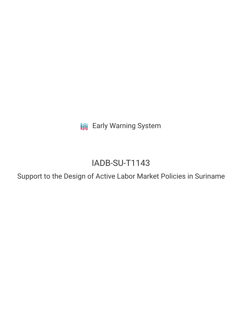**III** Early Warning System

# IADB-SU-T1143

Support to the Design of Active Labor Market Policies in Suriname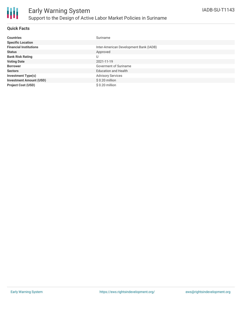

### **Quick Facts**

| <b>Countries</b>               | Suriname                               |
|--------------------------------|----------------------------------------|
| <b>Specific Location</b>       |                                        |
| <b>Financial Institutions</b>  | Inter-American Development Bank (IADB) |
| <b>Status</b>                  | Approved                               |
| <b>Bank Risk Rating</b>        | U                                      |
| <b>Voting Date</b>             | 2021-11-19                             |
| <b>Borrower</b>                | Goverment of Suriname                  |
| <b>Sectors</b>                 | <b>Education and Health</b>            |
| <b>Investment Type(s)</b>      | <b>Advisory Services</b>               |
| <b>Investment Amount (USD)</b> | $$0.20$ million                        |
| <b>Project Cost (USD)</b>      | \$0.20 million                         |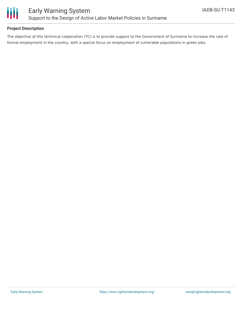

## **Project Description**

The objective of this technical cooperation (TC) is to provide support to the Government of Suriname to increase the rate of formal employment in the country, with a special focus on employment of vulnerable populations in green jobs.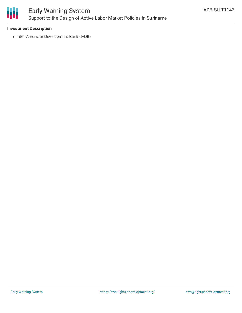

# Early Warning System Support to the Design of Active Labor Market Policies in Suriname

### **Investment Description**

• Inter-American Development Bank (IADB)